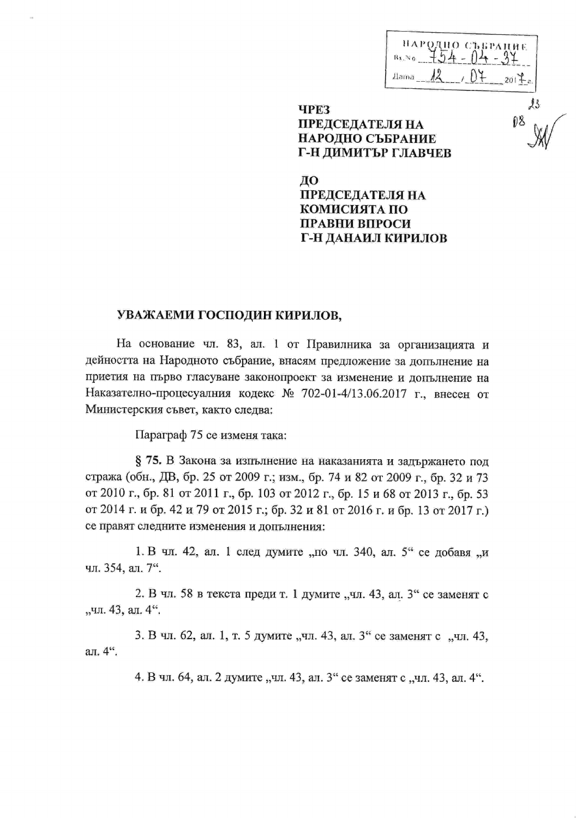| НАРОДНО СЪБРАЦИЕ<br>$\mathbf{B}_{X_{\alpha}}\!\!\approx$ $_{\mathbf{0}}$ |                |
|--------------------------------------------------------------------------|----------------|
| <b>Jlama</b>                                                             | $\overline{G}$ |

## **ЧРЕЗ ПРЕДСЕДАТЕЛЯ НА** НАРОДНО СЪБРАНИЕ Г-Н ДИМИТЪР ГЛАВЧЕВ

ДО ПРЕДСЕДАТЕЛЯ НА КОМИСИЯТА ПО **ПРАВНИ ВПРОСИ** Г-Н ДАНАИЛ КИРИЛОВ

## УВАЖАЕМИ ГОСПОДИН КИРИЛОВ,

На основание чл. 83, ал. 1 от Правилника за организацията и дейността на Народното събрание, внасям предложение за допълнение на приетия на първо гласуване законопроект за изменение и допълнение на Наказателно-процесуалния кодекс № 702-01-4/13.06.2017 г., внесен от Министерския съвет, както следва:

Параграф 75 се изменя така:

§ 75. В Закона за изпълнение на наказанията и задържането под стража (обн., ДВ, бр. 25 от 2009 г.; изм., бр. 74 и 82 от 2009 г., бр. 32 и 73 от 2010 г., бр. 81 от 2011 г., бр. 103 от 2012 г., бр. 15 и 68 от 2013 г., бр. 53 от 2014 г. и бр. 42 и 79 от 2015 г.; бр. 32 и 81 от 2016 г. и бр. 13 от 2017 г.) се правят следните изменения и допълнения:

1. В чл. 42, ал. 1 след думите "по чл. 340, ал. 5" се добавя "и чл. 354, ал. 7".

2. В чл. 58 в текста преди т. 1 думите "чл. 43, ал. 3" се заменят с "чл. 43, ал. 4".

3. В чл. 62, ал. 1, т. 5 думите "чл. 43, ал. 3" се заменят с "чл. 43, ал. 4".

4. В чл. 64, ал. 2 думите "чл. 43, ал. 3" се заменят с "чл. 43, ал. 4".